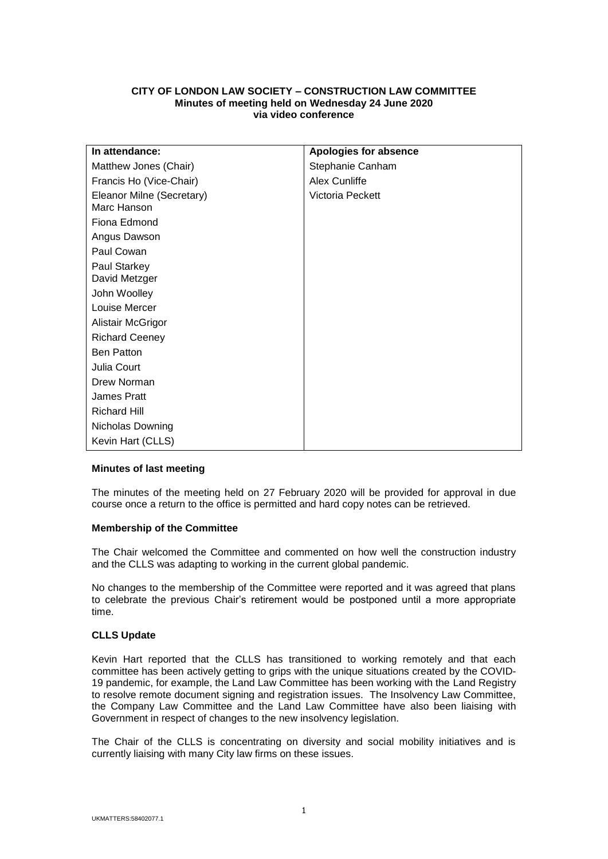# **CITY OF LONDON LAW SOCIETY – CONSTRUCTION LAW COMMITTEE Minutes of meeting held on Wednesday 24 June 2020 via video conference**

| In attendance:                           | Apologies for absence |
|------------------------------------------|-----------------------|
| Matthew Jones (Chair)                    | Stephanie Canham      |
| Francis Ho (Vice-Chair)                  | Alex Cunliffe         |
| Eleanor Milne (Secretary)<br>Marc Hanson | Victoria Peckett      |
| Fiona Edmond                             |                       |
| Angus Dawson                             |                       |
| Paul Cowan                               |                       |
| Paul Starkey<br>David Metzger            |                       |
| John Woolley                             |                       |
| Louise Mercer                            |                       |
| Alistair McGrigor                        |                       |
| <b>Richard Ceeney</b>                    |                       |
| <b>Ben Patton</b>                        |                       |
| Julia Court                              |                       |
| Drew Norman                              |                       |
| <b>James Pratt</b>                       |                       |
| <b>Richard Hill</b>                      |                       |
| Nicholas Downing                         |                       |
| Kevin Hart (CLLS)                        |                       |

## **Minutes of last meeting**

The minutes of the meeting held on 27 February 2020 will be provided for approval in due course once a return to the office is permitted and hard copy notes can be retrieved.

## **Membership of the Committee**

The Chair welcomed the Committee and commented on how well the construction industry and the CLLS was adapting to working in the current global pandemic.

No changes to the membership of the Committee were reported and it was agreed that plans to celebrate the previous Chair's retirement would be postponed until a more appropriate time.

## **CLLS Update**

Kevin Hart reported that the CLLS has transitioned to working remotely and that each committee has been actively getting to grips with the unique situations created by the COVID-19 pandemic, for example, the Land Law Committee has been working with the Land Registry to resolve remote document signing and registration issues. The Insolvency Law Committee, the Company Law Committee and the Land Law Committee have also been liaising with Government in respect of changes to the new insolvency legislation.

The Chair of the CLLS is concentrating on diversity and social mobility initiatives and is currently liaising with many City law firms on these issues.